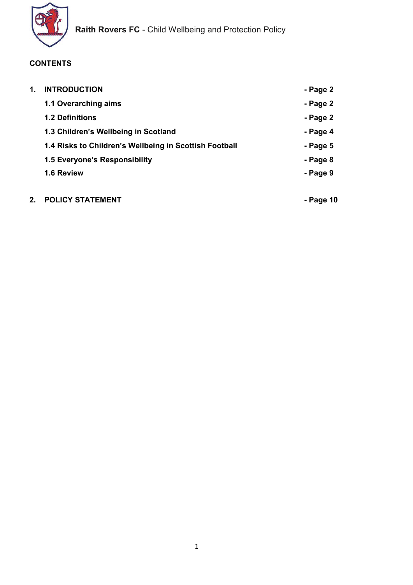

# **CONTENTS**

| 1. | <b>INTRODUCTION</b>                                    | - Page 2 |
|----|--------------------------------------------------------|----------|
|    | 1.1 Overarching aims                                   | - Page 2 |
|    | <b>1.2 Definitions</b>                                 | - Page 2 |
|    | 1.3 Children's Wellbeing in Scotland                   | - Page 4 |
|    | 1.4 Risks to Children's Wellbeing in Scottish Football | - Page 5 |
|    | 1.5 Everyone's Responsibility                          | - Page 8 |
|    | 1.6 Review                                             | - Page 9 |
|    |                                                        |          |

# 2. POLICY STATEMENT **And CONVERT ASSESSMENT** And CONVERT AND RANGE Page 10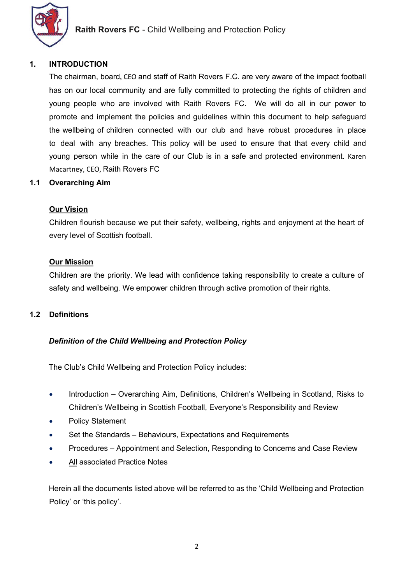

#### 1. INTRODUCTION

The chairman, board, CEO and staff of Raith Rovers F.C. are very aware of the impact football has on our local community and are fully committed to protecting the rights of children and young people who are involved with Raith Rovers FC. We will do all in our power to promote and implement the policies and guidelines within this document to help safeguard the wellbeing of children connected with our club and have robust procedures in place to deal with any breaches. This policy will be used to ensure that that every child and young person while in the care of our Club is in a safe and protected environment. Karen Macartney, CEO, Raith Rovers FC

#### 1.1 Overarching Aim

#### Our Vision

Children flourish because we put their safety, wellbeing, rights and enjoyment at the heart of every level of Scottish football.

#### Our Mission

Children are the priority. We lead with confidence taking responsibility to create a culture of safety and wellbeing. We empower children through active promotion of their rights.

## 1.2 Definitions

#### Definition of the Child Wellbeing and Protection Policy

The Club's Child Wellbeing and Protection Policy includes:

- Introduction Overarching Aim, Definitions, Children's Wellbeing in Scotland, Risks to Children's Wellbeing in Scottish Football, Everyone's Responsibility and Review
- Policy Statement
- Set the Standards Behaviours, Expectations and Requirements
- Procedures Appointment and Selection, Responding to Concerns and Case Review
- All associated Practice Notes

Herein all the documents listed above will be referred to as the 'Child Wellbeing and Protection Policy' or 'this policy'.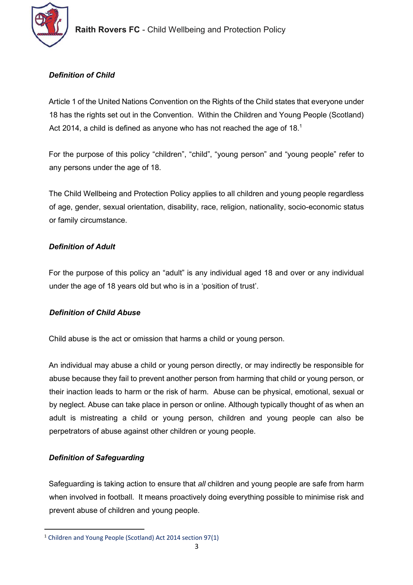

# Definition of Child

Article 1 of the United Nations Convention on the Rights of the Child states that everyone under 18 has the rights set out in the Convention. Within the Children and Young People (Scotland) Act 2014, a child is defined as anyone who has not reached the age of 18.<sup>1</sup>

For the purpose of this policy "children", "child", "young person" and "young people" refer to any persons under the age of 18.

The Child Wellbeing and Protection Policy applies to all children and young people regardless of age, gender, sexual orientation, disability, race, religion, nationality, socio-economic status or family circumstance.

# Definition of Adult

For the purpose of this policy an "adult" is any individual aged 18 and over or any individual under the age of 18 years old but who is in a 'position of trust'.

# Definition of Child Abuse

Child abuse is the act or omission that harms a child or young person.

An individual may abuse a child or young person directly, or may indirectly be responsible for abuse because they fail to prevent another person from harming that child or young person, or their inaction leads to harm or the risk of harm. Abuse can be physical, emotional, sexual or by neglect. Abuse can take place in person or online. Although typically thought of as when an adult is mistreating a child or young person, children and young people can also be perpetrators of abuse against other children or young people.

# Definition of Safeguarding

Safeguarding is taking action to ensure that all children and young people are safe from harm when involved in football. It means proactively doing everything possible to minimise risk and prevent abuse of children and young people.

<sup>1</sup> Children and Young People (Scotland) Act 2014 section 97(1)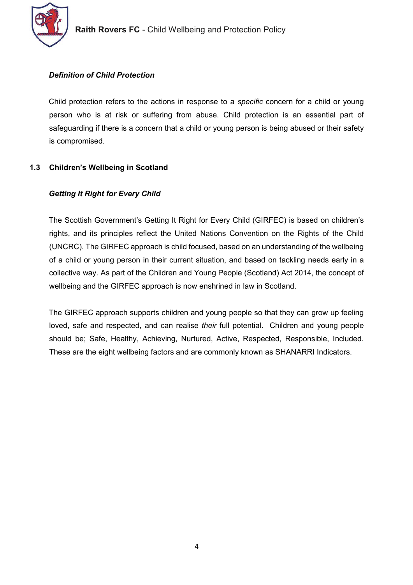

## Definition of Child Protection

Child protection refers to the actions in response to a *specific* concern for a child or young person who is at risk or suffering from abuse. Child protection is an essential part of safeguarding if there is a concern that a child or young person is being abused or their safety is compromised.

# 1.3 Children's Wellbeing in Scotland

# Getting It Right for Every Child

The Scottish Government's Getting It Right for Every Child (GIRFEC) is based on children's rights, and its principles reflect the United Nations Convention on the Rights of the Child (UNCRC). The GIRFEC approach is child focused, based on an understanding of the wellbeing of a child or young person in their current situation, and based on tackling needs early in a collective way. As part of the Children and Young People (Scotland) Act 2014, the concept of wellbeing and the GIRFEC approach is now enshrined in law in Scotland.

The GIRFEC approach supports children and young people so that they can grow up feeling loved, safe and respected, and can realise their full potential. Children and young people should be; Safe, Healthy, Achieving, Nurtured, Active, Respected, Responsible, Included. These are the eight wellbeing factors and are commonly known as SHANARRI Indicators.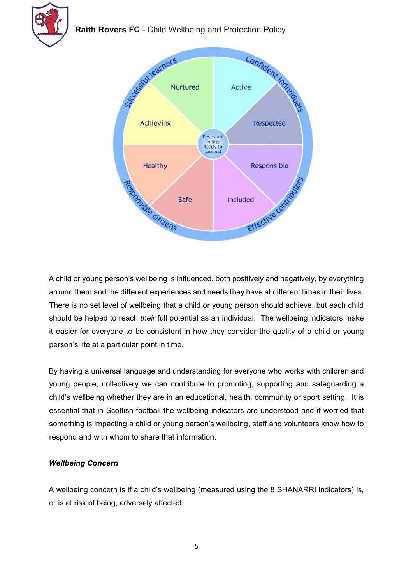

Raith Rovers FC - Child Wellbeing and Protection Policy



A child or young person's wellbeing is influenced, both positively and negatively, by everything around them and the different experiences and needs they have at different times in their lives. There is no set level of wellbeing that a child or young person should achieve, but each child should be helped to reach *their* full potential as an individual. The wellbeing indicators make it easier for everyone to be consistent in how they consider the quality of a child or young person's life at a particular point in time.

By having a universal language and understanding for everyone who works with children and young people, collectively we can contribute to promoting, supporting and safeguarding a child's wellbeing whether they are in an educational, health, community or sport setting. It is essential that in Scottish football the wellbeing indicators are understood and if worried that something is impacting a child or young person's wellbeing, staff and volunteers know how to respond and with whom to share that information.

## Wellbeing Concern

A wellbeing concern is if a child's wellbeing (measured using the 8 SHANARRI indicators) is, or is at risk of being, adversely affected.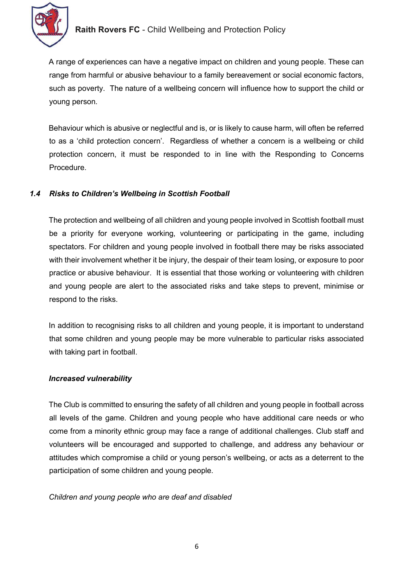

A range of experiences can have a negative impact on children and young people. These can range from harmful or abusive behaviour to a family bereavement or social economic factors, such as poverty. The nature of a wellbeing concern will influence how to support the child or young person.

Behaviour which is abusive or neglectful and is, or is likely to cause harm, will often be referred to as a 'child protection concern'. Regardless of whether a concern is a wellbeing or child protection concern, it must be responded to in line with the Responding to Concerns Procedure.

## 1.4 Risks to Children's Wellbeing in Scottish Football

The protection and wellbeing of all children and young people involved in Scottish football must be a priority for everyone working, volunteering or participating in the game, including spectators. For children and young people involved in football there may be risks associated with their involvement whether it be injury, the despair of their team losing, or exposure to poor practice or abusive behaviour. It is essential that those working or volunteering with children and young people are alert to the associated risks and take steps to prevent, minimise or respond to the risks.

In addition to recognising risks to all children and young people, it is important to understand that some children and young people may be more vulnerable to particular risks associated with taking part in football.

## Increased vulnerability

The Club is committed to ensuring the safety of all children and young people in football across all levels of the game. Children and young people who have additional care needs or who come from a minority ethnic group may face a range of additional challenges. Club staff and volunteers will be encouraged and supported to challenge, and address any behaviour or attitudes which compromise a child or young person's wellbeing, or acts as a deterrent to the participation of some children and young people.

## Children and young people who are deaf and disabled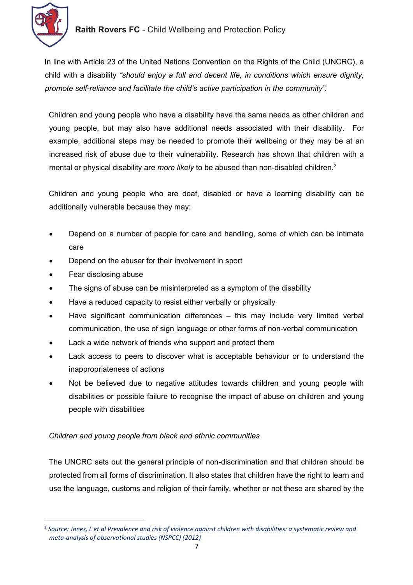

In line with Article 23 of the United Nations Convention on the Rights of the Child (UNCRC), a child with a disability "should enjoy a full and decent life, in conditions which ensure dignity, promote self-reliance and facilitate the child's active participation in the community".

Children and young people who have a disability have the same needs as other children and young people, but may also have additional needs associated with their disability. For example, additional steps may be needed to promote their wellbeing or they may be at an increased risk of abuse due to their vulnerability. Research has shown that children with a mental or physical disability are more likely to be abused than non-disabled children.<sup>2</sup>

Children and young people who are deaf, disabled or have a learning disability can be additionally vulnerable because they may:

- Depend on a number of people for care and handling, some of which can be intimate care
- Depend on the abuser for their involvement in sport
- Fear disclosing abuse
- The signs of abuse can be misinterpreted as a symptom of the disability
- Have a reduced capacity to resist either verbally or physically
- Have significant communication differences this may include very limited verbal communication, the use of sign language or other forms of non-verbal communication
- Lack a wide network of friends who support and protect them
- Lack access to peers to discover what is acceptable behaviour or to understand the inappropriateness of actions
- Not be believed due to negative attitudes towards children and young people with disabilities or possible failure to recognise the impact of abuse on children and young people with disabilities

## Children and young people from black and ethnic communities

The UNCRC sets out the general principle of non-discrimination and that children should be protected from all forms of discrimination. It also states that children have the right to learn and use the language, customs and religion of their family, whether or not these are shared by the

<sup>&</sup>lt;sup>2</sup> Source: Jones, L et al Prevalence and risk of violence against children with disabilities: a systematic review and meta-analysis of observational studies (NSPCC) (2012)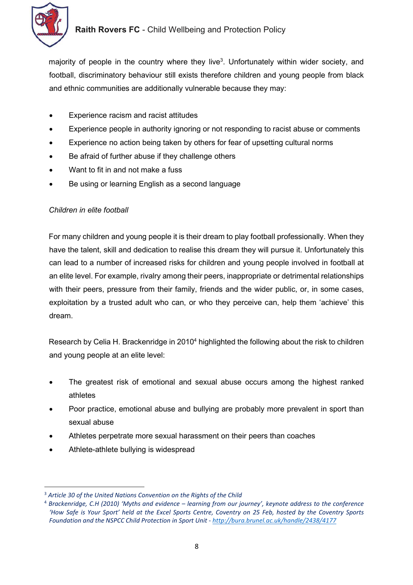

majority of people in the country where they live<sup>3</sup>. Unfortunately within wider society, and football, discriminatory behaviour still exists therefore children and young people from black and ethnic communities are additionally vulnerable because they may:

- Experience racism and racist attitudes
- Experience people in authority ignoring or not responding to racist abuse or comments
- Experience no action being taken by others for fear of upsetting cultural norms
- Be afraid of further abuse if they challenge others
- Want to fit in and not make a fuss
- Be using or learning English as a second language

#### Children in elite football

For many children and young people it is their dream to play football professionally. When they have the talent, skill and dedication to realise this dream they will pursue it. Unfortunately this can lead to a number of increased risks for children and young people involved in football at an elite level. For example, rivalry among their peers, inappropriate or detrimental relationships with their peers, pressure from their family, friends and the wider public, or, in some cases, exploitation by a trusted adult who can, or who they perceive can, help them 'achieve' this dream.

Research by Celia H. Brackenridge in 2010<sup>4</sup> highlighted the following about the risk to children and young people at an elite level:

- The greatest risk of emotional and sexual abuse occurs among the highest ranked athletes
- Poor practice, emotional abuse and bullying are probably more prevalent in sport than sexual abuse
- Athletes perpetrate more sexual harassment on their peers than coaches
- Athlete-athlete bullying is widespread

<sup>&</sup>lt;sup>3</sup> Article 30 of the United Nations Convention on the Rights of the Child

<sup>4</sup> Brackenridge, C.H (2010) 'Myths and evidence – learning from our journey', keynote address to the conference 'How Safe is Your Sport' held at the Excel Sports Centre, Coventry on 25 Feb, hosted by the Coventry Sports Foundation and the NSPCC Child Protection in Sport Unit - http://bura.brunel.ac.uk/handle/2438/4177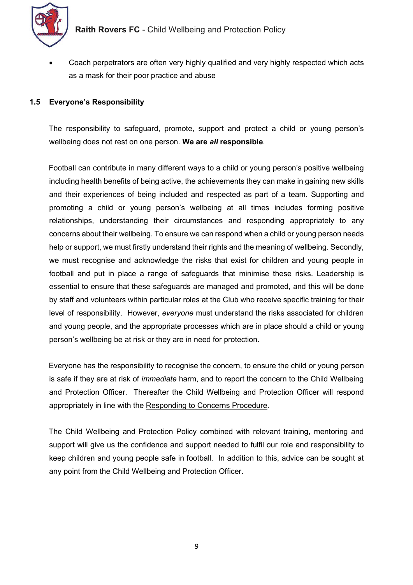

 Coach perpetrators are often very highly qualified and very highly respected which acts as a mask for their poor practice and abuse

#### 1.5 Everyone's Responsibility

The responsibility to safeguard, promote, support and protect a child or young person's wellbeing does not rest on one person. We are all responsible.

Football can contribute in many different ways to a child or young person's positive wellbeing including health benefits of being active, the achievements they can make in gaining new skills and their experiences of being included and respected as part of a team. Supporting and promoting a child or young person's wellbeing at all times includes forming positive relationships, understanding their circumstances and responding appropriately to any concerns about their wellbeing. To ensure we can respond when a child or young person needs help or support, we must firstly understand their rights and the meaning of wellbeing. Secondly, we must recognise and acknowledge the risks that exist for children and young people in football and put in place a range of safeguards that minimise these risks. Leadership is essential to ensure that these safeguards are managed and promoted, and this will be done by staff and volunteers within particular roles at the Club who receive specific training for their level of responsibility. However, everyone must understand the risks associated for children and young people, and the appropriate processes which are in place should a child or young person's wellbeing be at risk or they are in need for protection.

Everyone has the responsibility to recognise the concern, to ensure the child or young person is safe if they are at risk of *immediate* harm, and to report the concern to the Child Wellbeing and Protection Officer. Thereafter the Child Wellbeing and Protection Officer will respond appropriately in line with the Responding to Concerns Procedure.

The Child Wellbeing and Protection Policy combined with relevant training, mentoring and support will give us the confidence and support needed to fulfil our role and responsibility to keep children and young people safe in football. In addition to this, advice can be sought at any point from the Child Wellbeing and Protection Officer.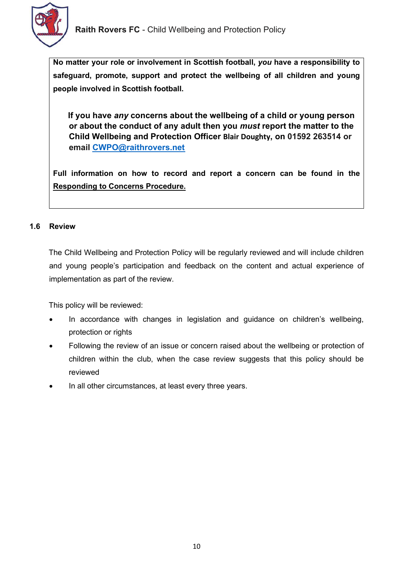

No matter your role or involvement in Scottish football, you have a responsibility to safeguard, promote, support and protect the wellbeing of all children and young people involved in Scottish football.

If you have any concerns about the wellbeing of a child or young person or about the conduct of any adult then you must report the matter to the Child Wellbeing and Protection Officer **Blair Doughty**, on 01592 263514 or email CWPO@raithrovers.net

Full information on how to record and report a concern can be found in the Responding to Concerns Procedure.

## 1.6 Review

The Child Wellbeing and Protection Policy will be regularly reviewed and will include children and young people's participation and feedback on the content and actual experience of implementation as part of the review.

This policy will be reviewed:

- In accordance with changes in legislation and guidance on children's wellbeing, protection or rights
- Following the review of an issue or concern raised about the wellbeing or protection of children within the club, when the case review suggests that this policy should be reviewed
- In all other circumstances, at least every three years.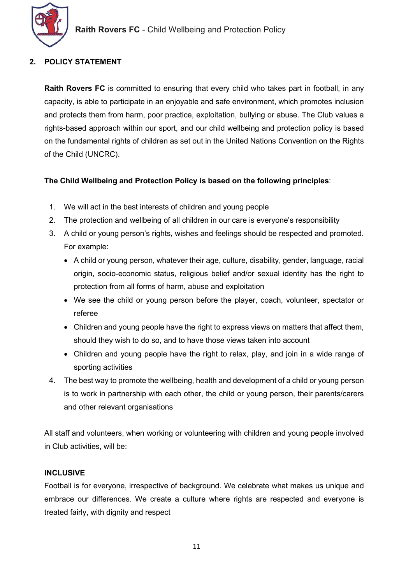

# 2. POLICY STATEMENT

Raith Rovers FC is committed to ensuring that every child who takes part in football, in any capacity, is able to participate in an enjoyable and safe environment, which promotes inclusion and protects them from harm, poor practice, exploitation, bullying or abuse. The Club values a rights-based approach within our sport, and our child wellbeing and protection policy is based on the fundamental rights of children as set out in the United Nations Convention on the Rights of the Child (UNCRC).

## The Child Wellbeing and Protection Policy is based on the following principles:

- 1. We will act in the best interests of children and young people
- 2. The protection and wellbeing of all children in our care is everyone's responsibility
- 3. A child or young person's rights, wishes and feelings should be respected and promoted. For example:
	- A child or young person, whatever their age, culture, disability, gender, language, racial origin, socio-economic status, religious belief and/or sexual identity has the right to protection from all forms of harm, abuse and exploitation
	- We see the child or young person before the player, coach, volunteer, spectator or referee
	- Children and young people have the right to express views on matters that affect them, should they wish to do so, and to have those views taken into account
	- Children and young people have the right to relax, play, and join in a wide range of sporting activities
- 4. The best way to promote the wellbeing, health and development of a child or young person is to work in partnership with each other, the child or young person, their parents/carers and other relevant organisations

All staff and volunteers, when working or volunteering with children and young people involved in Club activities, will be:

## **INCLUSIVE**

Football is for everyone, irrespective of background. We celebrate what makes us unique and embrace our differences. We create a culture where rights are respected and everyone is treated fairly, with dignity and respect